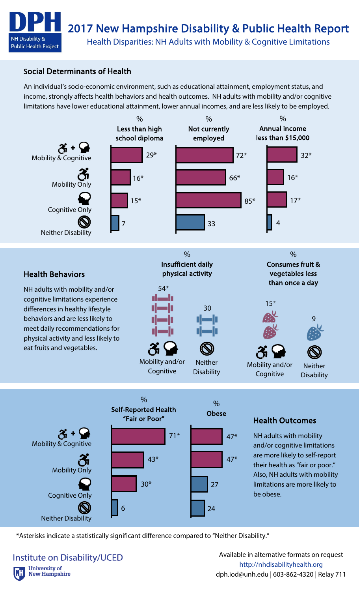

## Social Determinants of Health

An individual's socio-economic environment, such as educational attainment, employment status, and income, strongly affects health behaviors and health outcomes. NH adults with mobility and/or cognitive limitations have lower educational attainment, lower annual incomes, and are less likely to be employed.





### Health Outcomes

NH adults with mobility and/or cognitive limitations are more likely to self-report their health as "fair or poor." Also, NH adults with mobility limitations are more likely to be obese.

\*Asterisks indicate a statistically significant difference compared to "Neither Disability."

#### **Institute on Disability/UCED University of New Hampshire**

Available in alternative formats on request http://nhdisabilityhealth.org dph.iod@unh.edu | 603-862-4320 | Relay 711